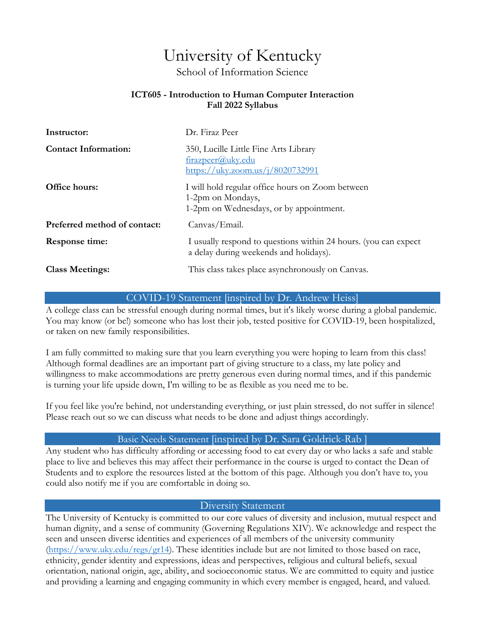# University of Kentucky

School of Information Science

#### **ICT605 - Introduction to Human Computer Interaction Fall 2022 Syllabus**

| Instructor:                  | Dr. Firaz Peer                                                                                                   |
|------------------------------|------------------------------------------------------------------------------------------------------------------|
| <b>Contact Information:</b>  | 350, Lucille Little Fine Arts Library<br>firazpeer@uky.edu<br>https://uky.zoom.us/j/8020732991                   |
| Office hours:                | I will hold regular office hours on Zoom between<br>1-2pm on Mondays,<br>1-2pm on Wednesdays, or by appointment. |
| Preferred method of contact: | Canvas/Email.                                                                                                    |
| Response time:               | I usually respond to questions within 24 hours. (you can expect<br>a delay during weekends and holidays).        |
| <b>Class Meetings:</b>       | This class takes place asynchronously on Canvas.                                                                 |

#### COVID-19 Statement [inspired by Dr. Andrew Heiss]

A college class can be stressful enough during normal times, but it's likely worse during a global pandemic. You may know (or be!) someone who has lost their job, tested positive for COVID-19, been hospitalized, or taken on new family responsibilities.

I am fully committed to making sure that you learn everything you were hoping to learn from this class! Although formal deadlines are an important part of giving structure to a class, my late policy and willingness to make accommodations are pretty generous even during normal times, and if this pandemic is turning your life upside down, I'm willing to be as flexible as you need me to be.

If you feel like you're behind, not understanding everything, or just plain stressed, do not suffer in silence! Please reach out so we can discuss what needs to be done and adjust things accordingly.

#### Basic Needs Statement [inspired by Dr. Sara Goldrick-Rab ]

Any student who has difficulty affording or accessing food to eat every day or who lacks a safe and stable place to live and believes this may affect their performance in the course is urged to contact the Dean of Students and to explore the resources listed at the bottom of this page. Although you don't have to, you could also notify me if you are comfortable in doing so.

#### Diversity Statement

The University of Kentucky is committed to our core values of diversity and inclusion, mutual respect and human dignity, and a sense of community (Governing Regulations XIV). We acknowledge and respect the seen and unseen diverse identities and experiences of all members of the university community  $(\text{https://www.ukv.edu/regs/gr14}).$  These identities include but are not limited to those based on race, ethnicity, gender identity and expressions, ideas and perspectives, religious and cultural beliefs, sexual orientation, national origin, age, ability, and socioeconomic status. We are committed to equity and justice and providing a learning and engaging community in which every member is engaged, heard, and valued.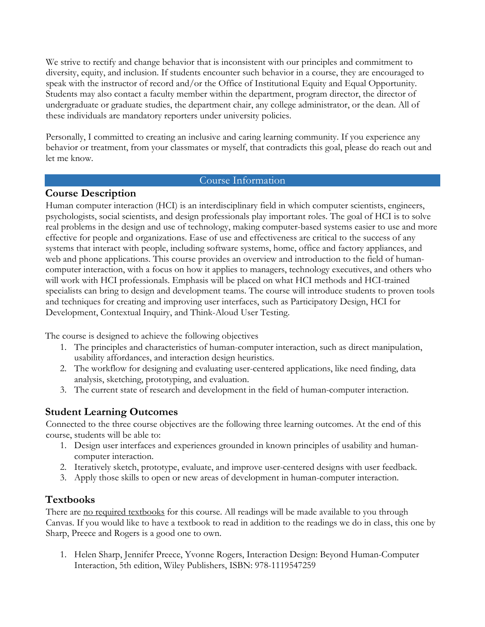We strive to rectify and change behavior that is inconsistent with our principles and commitment to diversity, equity, and inclusion. If students encounter such behavior in a course, they are encouraged to speak with the instructor of record and/or the Office of Institutional Equity and Equal Opportunity. Students may also contact a faculty member within the department, program director, the director of undergraduate or graduate studies, the department chair, any college administrator, or the dean. All of these individuals are mandatory reporters under university policies.

Personally, I committed to creating an inclusive and caring learning community. If you experience any behavior or treatment, from your classmates or myself, that contradicts this goal, please do reach out and let me know.

#### Course Information

# **Course Description**

Human computer interaction (HCI) is an interdisciplinary field in which computer scientists, engineers, psychologists, social scientists, and design professionals play important roles. The goal of HCI is to solve real problems in the design and use of technology, making computer-based systems easier to use and more effective for people and organizations. Ease of use and effectiveness are critical to the success of any systems that interact with people, including software systems, home, office and factory appliances, and web and phone applications. This course provides an overview and introduction to the field of humancomputer interaction, with a focus on how it applies to managers, technology executives, and others who will work with HCI professionals. Emphasis will be placed on what HCI methods and HCI-trained specialists can bring to design and development teams. The course will introduce students to proven tools and techniques for creating and improving user interfaces, such as Participatory Design, HCI for Development, Contextual Inquiry, and Think-Aloud User Testing.

The course is designed to achieve the following objectives

- 1. The principles and characteristics of human-computer interaction, such as direct manipulation, usability affordances, and interaction design heuristics.
- 2. The workflow for designing and evaluating user-centered applications, like need finding, data analysis, sketching, prototyping, and evaluation.
- 3. The current state of research and development in the field of human-computer interaction.

# **Student Learning Outcomes**

Connected to the three course objectives are the following three learning outcomes. At the end of this course, students will be able to:

- 1. Design user interfaces and experiences grounded in known principles of usability and humancomputer interaction.
- 2. Iteratively sketch, prototype, evaluate, and improve user-centered designs with user feedback.
- 3. Apply those skills to open or new areas of development in human-computer interaction.

# **Textbooks**

There are no required textbooks for this course. All readings will be made available to you through Canvas. If you would like to have a textbook to read in addition to the readings we do in class, this one by Sharp, Preece and Rogers is a good one to own.

1. Helen Sharp, Jennifer Preece, Yvonne Rogers, Interaction Design: Beyond Human-Computer Interaction, 5th edition, Wiley Publishers, ISBN: 978-1119547259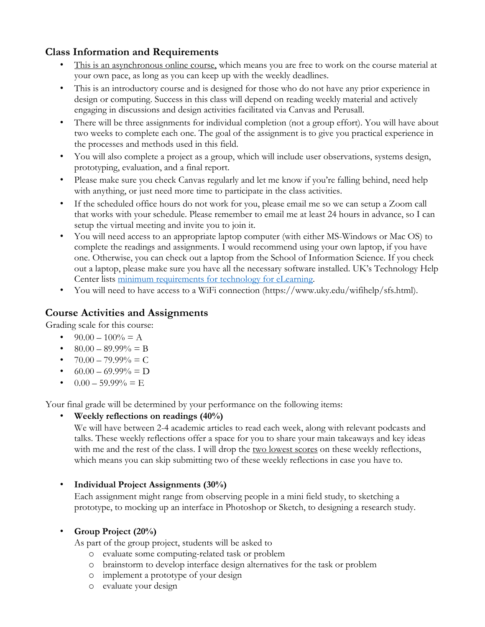# **Class Information and Requirements**

- This is an asynchronous online course, which means you are free to work on the course material at your own pace, as long as you can keep up with the weekly deadlines.
- This is an introductory course and is designed for those who do not have any prior experience in design or computing. Success in this class will depend on reading weekly material and actively engaging in discussions and design activities facilitated via Canvas and Perusall.
- There will be three assignments for individual completion (not a group effort). You will have about two weeks to complete each one. The goal of the assignment is to give you practical experience in the processes and methods used in this field.
- You will also complete a project as a group, which will include user observations, systems design, prototyping, evaluation, and a final report.
- Please make sure you check Canvas regularly and let me know if you're falling behind, need help with anything, or just need more time to participate in the class activities.
- If the scheduled office hours do not work for you, please email me so we can setup a Zoom call that works with your schedule. Please remember to email me at least 24 hours in advance, so I can setup the virtual meeting and invite you to join it.
- You will need access to an appropriate laptop computer (with either MS-Windows or Mac OS) to complete the readings and assignments. I would recommend using your own laptop, if you have one. Otherwise, you can check out a laptop from the School of Information Science. If you check out a laptop, please make sure you have all the necessary software installed. UK's Technology Help Center lists minimum requirements for technology for eLearning.
- You will need to have access to a WiFi connection (https://www.uky.edu/wifihelp/sfs.html).

# **Course Activities and Assignments**

Grading scale for this course:

- $90.00 100\% = A$
- $80.00 89.99\% = B$
- $70.00 79.99\% = C$
- $60.00 69.99\% = D$
- $0.00 59.99\% = E$

Your final grade will be determined by your performance on the following items:

• **Weekly reflections on readings (40%)** 

We will have between 2-4 academic articles to read each week, along with relevant podcasts and talks. These weekly reflections offer a space for you to share your main takeaways and key ideas with me and the rest of the class. I will drop the two lowest scores on these weekly reflections, which means you can skip submitting two of these weekly reflections in case you have to.

# • **Individual Project Assignments (30%)**

Each assignment might range from observing people in a mini field study, to sketching a prototype, to mocking up an interface in Photoshop or Sketch, to designing a research study.

# • **Group Project (20%)**

As part of the group project, students will be asked to

- o evaluate some computing-related task or problem
- o brainstorm to develop interface design alternatives for the task or problem
- o implement a prototype of your design
- o evaluate your design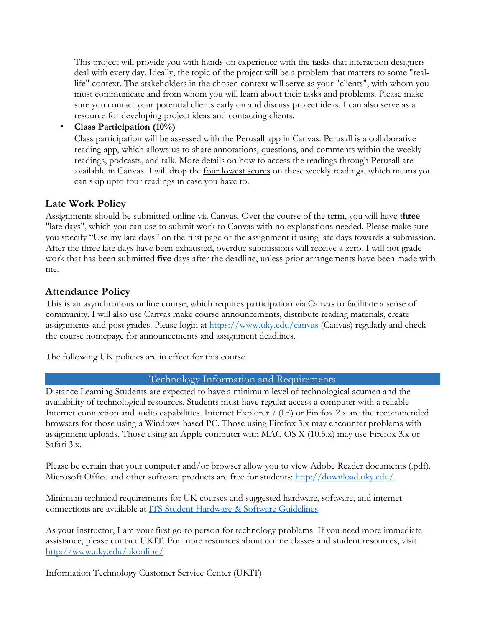This project will provide you with hands-on experience with the tasks that interaction designers deal with every day. Ideally, the topic of the project will be a problem that matters to some "reallife" context. The stakeholders in the chosen context will serve as your "clients", with whom you must communicate and from whom you will learn about their tasks and problems. Please make sure you contact your potential clients early on and discuss project ideas. I can also serve as a resource for developing project ideas and contacting clients.

• **Class Participation (10%)** 

Class participation will be assessed with the Perusall app in Canvas. Perusall is a collaborative reading app, which allows us to share annotations, questions, and comments within the weekly readings, podcasts, and talk. More details on how to access the readings through Perusall are available in Canvas. I will drop the four lowest scores on these weekly readings, which means you can skip upto four readings in case you have to.

# **Late Work Policy**

Assignments should be submitted online via Canvas. Over the course of the term, you will have **three** "late days", which you can use to submit work to Canvas with no explanations needed. Please make sure you specify "Use my late days" on the first page of the assignment if using late days towards a submission. After the three late days have been exhausted, overdue submissions will receive a zero. I will not grade work that has been submitted **five** days after the deadline, unless prior arrangements have been made with me.

# **Attendance Policy**

This is an asynchronous online course, which requires participation via Canvas to facilitate a sense of community. I will also use Canvas make course announcements, distribute reading materials, create assignments and post grades. Please login at https://www.uky.edu/canvas (Canvas) regularly and check the course homepage for announcements and assignment deadlines.

The following UK policies are in effect for this course.

#### Technology Information and Requirements

Distance Learning Students are expected to have a minimum level of technological acumen and the availability of technological resources. Students must have regular access a computer with a reliable Internet connection and audio capabilities. Internet Explorer 7 (IE) or Firefox 2.x are the recommended browsers for those using a Windows-based PC. Those using Firefox 3.x may encounter problems with assignment uploads. Those using an Apple computer with MAC OS X (10.5.x) may use Firefox 3.x or Safari 3.x.

Please be certain that your computer and/or browser allow you to view Adobe Reader documents (.pdf). Microsoft Office and other software products are free for students: http://download.uky.edu/.

Minimum technical requirements for UK courses and suggested hardware, software, and internet connections are available at ITS Student Hardware & Software Guidelines.

As your instructor, I am your first go-to person for technology problems. If you need more immediate assistance, please contact UKIT. For more resources about online classes and student resources, visit http://www.uky.edu/ukonline/

Information Technology Customer Service Center (UKIT)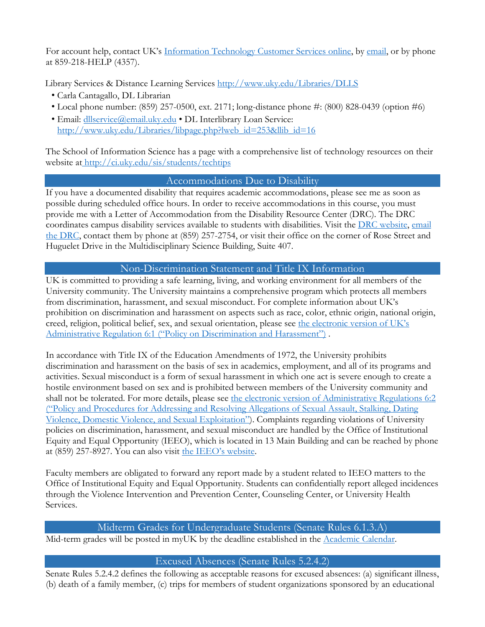For account help, contact UK's Information Technology Customer Services online, by email, or by phone at 859-218-HELP (4357).

Library Services & Distance Learning Services http://www.uky.edu/Libraries/DLLS

- Carla Cantagallo, DL Librarian
- Local phone number: (859) 257-0500, ext. 2171; long-distance phone #: (800) 828-0439 (option #6)
- Email: dllservice@email.uky.edu DL Interlibrary Loan Service: http://www.uky.edu/Libraries/libpage.php?lweb\_id=253&llib\_id=16

The School of Information Science has a page with a comprehensive list of technology resources on their website at http://ci.uky.edu/sis/students/techtips

# Accommodations Due to Disability

If you have a documented disability that requires academic accommodations, please see me as soon as possible during scheduled office hours. In order to receive accommodations in this course, you must provide me with a Letter of Accommodation from the Disability Resource Center (DRC). The DRC coordinates campus disability services available to students with disabilities. Visit the DRC website, email the DRC, contact them by phone at (859) 257-2754, or visit their office on the corner of Rose Street and Huguelet Drive in the Multidisciplinary Science Building, Suite 407.

# Non-Discrimination Statement and Title IX Information

UK is committed to providing a safe learning, living, and working environment for all members of the University community. The University maintains a comprehensive program which protects all members from discrimination, harassment, and sexual misconduct. For complete information about UK's prohibition on discrimination and harassment on aspects such as race, color, ethnic origin, national origin, creed, religion, political belief, sex, and sexual orientation, please see the electronic version of UK's Administrative Regulation 6:1 ("Policy on Discrimination and Harassment").

In accordance with Title IX of the Education Amendments of 1972, the University prohibits discrimination and harassment on the basis of sex in academics, employment, and all of its programs and activities. Sexual misconduct is a form of sexual harassment in which one act is severe enough to create a hostile environment based on sex and is prohibited between members of the University community and shall not be tolerated. For more details, please see the electronic version of Administrative Regulations 6:2 ("Policy and Procedures for Addressing and Resolving Allegations of Sexual Assault, Stalking, Dating Violence, Domestic Violence, and Sexual Exploitation"). Complaints regarding violations of University policies on discrimination, harassment, and sexual misconduct are handled by the Office of Institutional Equity and Equal Opportunity (IEEO), which is located in 13 Main Building and can be reached by phone at (859) 257-8927. You can also visit the IEEO's website.

Faculty members are obligated to forward any report made by a student related to IEEO matters to the Office of Institutional Equity and Equal Opportunity. Students can confidentially report alleged incidences through the Violence Intervention and Prevention Center, Counseling Center, or University Health Services.

# Midterm Grades for Undergraduate Students (Senate Rules 6.1.3.A)

Mid-term grades will be posted in myUK by the deadline established in the Academic Calendar.

# Excused Absences (Senate Rules 5.2.4.2)

Senate Rules 5.2.4.2 defines the following as acceptable reasons for excused absences: (a) significant illness, (b) death of a family member, (c) trips for members of student organizations sponsored by an educational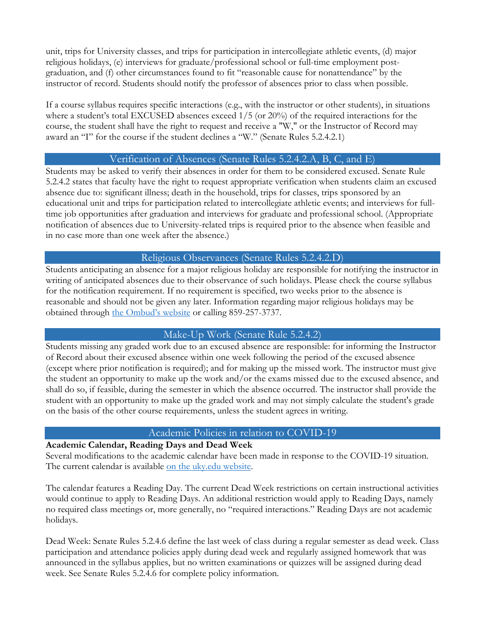unit, trips for University classes, and trips for participation in intercollegiate athletic events, (d) major religious holidays, (e) interviews for graduate/professional school or full-time employment postgraduation, and (f) other circumstances found to fit "reasonable cause for nonattendance" by the instructor of record. Students should notify the professor of absences prior to class when possible.

If a course syllabus requires specific interactions (e.g., with the instructor or other students), in situations where a student's total EXCUSED absences exceed 1/5 (or 20%) of the required interactions for the course, the student shall have the right to request and receive a "W," or the Instructor of Record may award an "I" for the course if the student declines a "W." (Senate Rules 5.2.4.2.1)

#### Verification of Absences (Senate Rules 5.2.4.2.A, B, C, and E)

Students may be asked to verify their absences in order for them to be considered excused. Senate Rule 5.2.4.2 states that faculty have the right to request appropriate verification when students claim an excused absence due to: significant illness; death in the household, trips for classes, trips sponsored by an educational unit and trips for participation related to intercollegiate athletic events; and interviews for fulltime job opportunities after graduation and interviews for graduate and professional school. (Appropriate notification of absences due to University-related trips is required prior to the absence when feasible and in no case more than one week after the absence.)

# Religious Observances (Senate Rules 5.2.4.2.D)

Students anticipating an absence for a major religious holiday are responsible for notifying the instructor in writing of anticipated absences due to their observance of such holidays. Please check the course syllabus for the notification requirement. If no requirement is specified, two weeks prior to the absence is reasonable and should not be given any later. Information regarding major religious holidays may be obtained through the Ombud's website or calling 859-257-3737.

# Make-Up Work (Senate Rule 5.2.4.2)

Students missing any graded work due to an excused absence are responsible: for informing the Instructor of Record about their excused absence within one week following the period of the excused absence (except where prior notification is required); and for making up the missed work. The instructor must give the student an opportunity to make up the work and/or the exams missed due to the excused absence, and shall do so, if feasible, during the semester in which the absence occurred. The instructor shall provide the student with an opportunity to make up the graded work and may not simply calculate the student's grade on the basis of the other course requirements, unless the student agrees in writing.

# Academic Policies in relation to COVID-19

# **Academic Calendar, Reading Days and Dead Week**

Several modifications to the academic calendar have been made in response to the COVID-19 situation. The current calendar is available on the uky.edu website.

The calendar features a Reading Day. The current Dead Week restrictions on certain instructional activities would continue to apply to Reading Days. An additional restriction would apply to Reading Days, namely no required class meetings or, more generally, no "required interactions." Reading Days are not academic holidays.

Dead Week: Senate Rules 5.2.4.6 define the last week of class during a regular semester as dead week. Class participation and attendance policies apply during dead week and regularly assigned homework that was announced in the syllabus applies, but no written examinations or quizzes will be assigned during dead week. See Senate Rules 5.2.4.6 for complete policy information.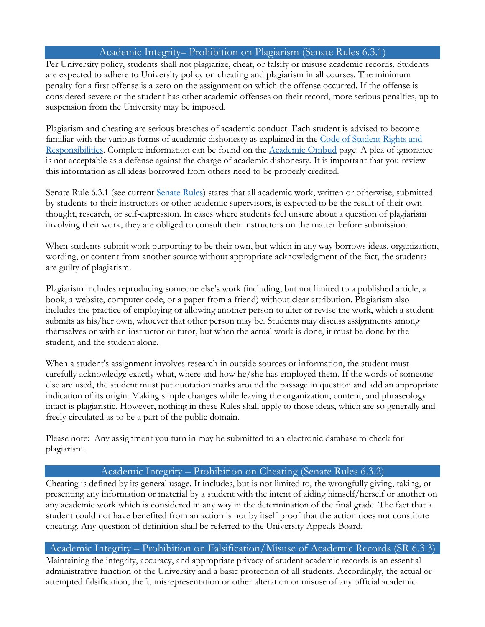## Academic Integrity– Prohibition on Plagiarism (Senate Rules 6.3.1)

Per University policy, students shall not plagiarize, cheat, or falsify or misuse academic records. Students are expected to adhere to University policy on cheating and plagiarism in all courses. The minimum penalty for a first offense is a zero on the assignment on which the offense occurred. If the offense is considered severe or the student has other academic offenses on their record, more serious penalties, up to suspension from the University may be imposed.

Plagiarism and cheating are serious breaches of academic conduct. Each student is advised to become familiar with the various forms of academic dishonesty as explained in the Code of Student Rights and Responsibilities. Complete information can be found on the Academic Ombud page. A plea of ignorance is not acceptable as a defense against the charge of academic dishonesty. It is important that you review this information as all ideas borrowed from others need to be properly credited.

Senate Rule 6.3.1 (see current Senate Rules) states that all academic work, written or otherwise, submitted by students to their instructors or other academic supervisors, is expected to be the result of their own thought, research, or self-expression. In cases where students feel unsure about a question of plagiarism involving their work, they are obliged to consult their instructors on the matter before submission.

When students submit work purporting to be their own, but which in any way borrows ideas, organization, wording, or content from another source without appropriate acknowledgment of the fact, the students are guilty of plagiarism.

Plagiarism includes reproducing someone else's work (including, but not limited to a published article, a book, a website, computer code, or a paper from a friend) without clear attribution. Plagiarism also includes the practice of employing or allowing another person to alter or revise the work, which a student submits as his/her own, whoever that other person may be. Students may discuss assignments among themselves or with an instructor or tutor, but when the actual work is done, it must be done by the student, and the student alone.

When a student's assignment involves research in outside sources or information, the student must carefully acknowledge exactly what, where and how he/she has employed them. If the words of someone else are used, the student must put quotation marks around the passage in question and add an appropriate indication of its origin. Making simple changes while leaving the organization, content, and phraseology intact is plagiaristic. However, nothing in these Rules shall apply to those ideas, which are so generally and freely circulated as to be a part of the public domain.

Please note: Any assignment you turn in may be submitted to an electronic database to check for plagiarism.

#### Academic Integrity – Prohibition on Cheating (Senate Rules 6.3.2)

Cheating is defined by its general usage. It includes, but is not limited to, the wrongfully giving, taking, or presenting any information or material by a student with the intent of aiding himself/herself or another on any academic work which is considered in any way in the determination of the final grade. The fact that a student could not have benefited from an action is not by itself proof that the action does not constitute cheating. Any question of definition shall be referred to the University Appeals Board.

#### Academic Integrity – Prohibition on Falsification/Misuse of Academic Records (SR 6.3.3)

Maintaining the integrity, accuracy, and appropriate privacy of student academic records is an essential administrative function of the University and a basic protection of all students. Accordingly, the actual or attempted falsification, theft, misrepresentation or other alteration or misuse of any official academic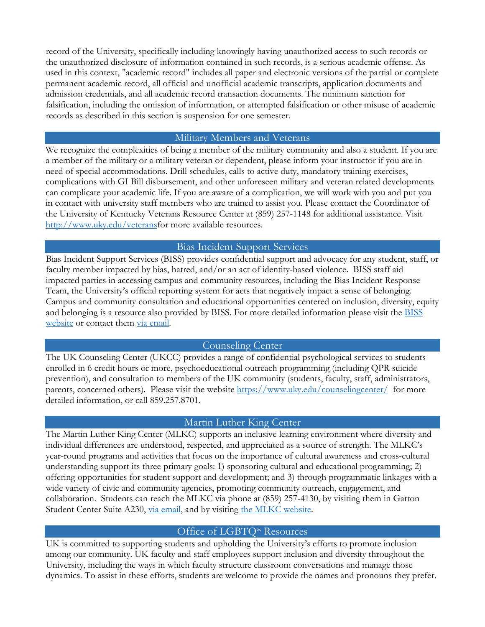record of the University, specifically including knowingly having unauthorized access to such records or the unauthorized disclosure of information contained in such records, is a serious academic offense. As used in this context, "academic record" includes all paper and electronic versions of the partial or complete permanent academic record, all official and unofficial academic transcripts, application documents and admission credentials, and all academic record transaction documents. The minimum sanction for falsification, including the omission of information, or attempted falsification or other misuse of academic records as described in this section is suspension for one semester.

#### Military Members and Veterans

We recognize the complexities of being a member of the military community and also a student. If you are a member of the military or a military veteran or dependent, please inform your instructor if you are in need of special accommodations. Drill schedules, calls to active duty, mandatory training exercises, complications with GI Bill disbursement, and other unforeseen military and veteran related developments can complicate your academic life. If you are aware of a complication, we will work with you and put you in contact with university staff members who are trained to assist you. Please contact the Coordinator of the University of Kentucky Veterans Resource Center at (859) 257-1148 for additional assistance. Visit http://www.uky.edu/veteransfor more available resources.

#### Bias Incident Support Services

Bias Incident Support Services (BISS) provides confidential support and advocacy for any student, staff, or faculty member impacted by bias, hatred, and/or an act of identity-based violence. BISS staff aid impacted parties in accessing campus and community resources, including the Bias Incident Response Team, the University's official reporting system for acts that negatively impact a sense of belonging. Campus and community consultation and educational opportunities centered on inclusion, diversity, equity and belonging is a resource also provided by BISS. For more detailed information please visit the BISS website or contact them via email.

# Counseling Center

The UK Counseling Center (UKCC) provides a range of confidential psychological services to students enrolled in 6 credit hours or more, psychoeducational outreach programming (including QPR suicide prevention), and consultation to members of the UK community (students, faculty, staff, administrators, parents, concerned others). Please visit the website https://www.uky.edu/counselingcenter/ for more detailed information, or call 859.257.8701.

#### Martin Luther King Center

The Martin Luther King Center (MLKC) supports an inclusive learning environment where diversity and individual differences are understood, respected, and appreciated as a source of strength. The MLKC's year-round programs and activities that focus on the importance of cultural awareness and cross-cultural understanding support its three primary goals: 1) sponsoring cultural and educational programming; 2) offering opportunities for student support and development; and 3) through programmatic linkages with a wide variety of civic and community agencies, promoting community outreach, engagement, and collaboration. Students can reach the MLKC via phone at (859) 257-4130, by visiting them in Gatton Student Center Suite A230, via email, and by visiting the MLKC website.

# Office of LGBTQ\* Resources

UK is committed to supporting students and upholding the University's efforts to promote inclusion among our community. UK faculty and staff employees support inclusion and diversity throughout the University, including the ways in which faculty structure classroom conversations and manage those dynamics. To assist in these efforts, students are welcome to provide the names and pronouns they prefer.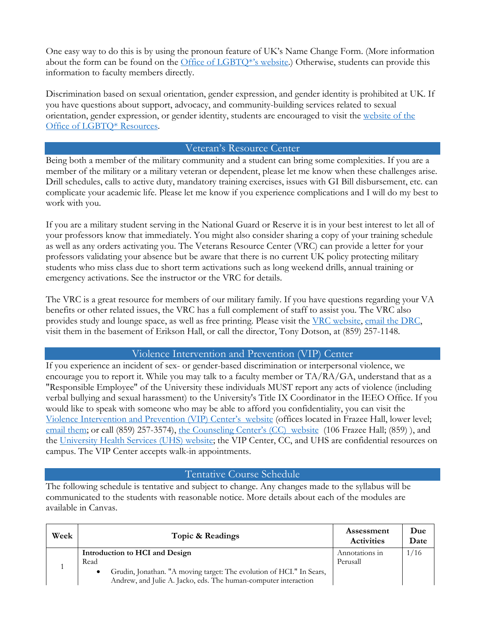One easy way to do this is by using the pronoun feature of UK's Name Change Form. (More information about the form can be found on the Office of LGBTQ\*'s website.) Otherwise, students can provide this information to faculty members directly.

Discrimination based on sexual orientation, gender expression, and gender identity is prohibited at UK. If you have questions about support, advocacy, and community-building services related to sexual orientation, gender expression, or gender identity, students are encouraged to visit the website of the Office of LGBTQ\* Resources.

#### Veteran's Resource Center

Being both a member of the military community and a student can bring some complexities. If you are a member of the military or a military veteran or dependent, please let me know when these challenges arise. Drill schedules, calls to active duty, mandatory training exercises, issues with GI Bill disbursement, etc. can complicate your academic life. Please let me know if you experience complications and I will do my best to work with you.

If you are a military student serving in the National Guard or Reserve it is in your best interest to let all of your professors know that immediately. You might also consider sharing a copy of your training schedule as well as any orders activating you. The Veterans Resource Center (VRC) can provide a letter for your professors validating your absence but be aware that there is no current UK policy protecting military students who miss class due to short term activations such as long weekend drills, annual training or emergency activations. See the instructor or the VRC for details.

The VRC is a great resource for members of our military family. If you have questions regarding your VA benefits or other related issues, the VRC has a full complement of staff to assist you. The VRC also provides study and lounge space, as well as free printing. Please visit the VRC website, email the DRC, visit them in the basement of Erikson Hall, or call the director, Tony Dotson, at (859) 257-1148.

# Violence Intervention and Prevention (VIP) Center

If you experience an incident of sex- or gender-based discrimination or interpersonal violence, we encourage you to report it. While you may talk to a faculty member or TA/RA/GA, understand that as a "Responsible Employee" of the University these individuals MUST report any acts of violence (including verbal bullying and sexual harassment) to the University's Title IX Coordinator in the IEEO Office. If you would like to speak with someone who may be able to afford you confidentiality, you can visit the Violence Intervention and Prevention (VIP) Center's website (offices located in Frazee Hall, lower level; email them; or call (859) 257-3574), the Counseling Center's (CC) website (106 Frazee Hall; (859)), and the University Health Services (UHS) website; the VIP Center, CC, and UHS are confidential resources on campus. The VIP Center accepts walk-in appointments.

# Tentative Course Schedule

The following schedule is tentative and subject to change. Any changes made to the syllabus will be communicated to the students with reasonable notice. More details about each of the modules are available in Canvas.

| Week | Topic & Readings                                                                                                                             | Assessment<br><b>Activities</b> | Due<br>Date |
|------|----------------------------------------------------------------------------------------------------------------------------------------------|---------------------------------|-------------|
|      | Introduction to HCI and Design<br>Read                                                                                                       | Annotations in<br>Perusall      | 1/16        |
|      | Grudin, Jonathan. "A moving target: The evolution of HCI." In Sears,<br>٠<br>Andrew, and Julie A. Jacko, eds. The human-computer interaction |                                 |             |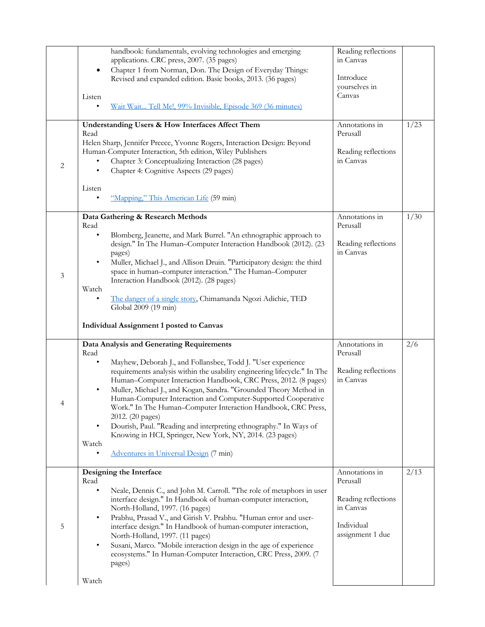|                | handbook: fundamentals, evolving technologies and emerging<br>applications. CRC press, 2007. (35 pages)<br>Chapter 1 from Norman, Don. The Design of Everyday Things:<br>٠<br>Revised and expanded edition. Basic books, 2013. (36 pages)<br>Listen<br><u>Wait Wait Tell Mel, 99% Invisible, Episode 369 (36 minutes)</u><br>Understanding Users & How Interfaces Affect Them                                                                                                                                                                                                                                                                                                              | Reading reflections<br>in Canvas<br>Introduce<br>yourselves in<br>Canvas<br>Annotations in       | 1/23 |
|----------------|--------------------------------------------------------------------------------------------------------------------------------------------------------------------------------------------------------------------------------------------------------------------------------------------------------------------------------------------------------------------------------------------------------------------------------------------------------------------------------------------------------------------------------------------------------------------------------------------------------------------------------------------------------------------------------------------|--------------------------------------------------------------------------------------------------|------|
| $\sqrt{2}$     | Read<br>Helen Sharp, Jennifer Preece, Yvonne Rogers, Interaction Design: Beyond<br>Human-Computer Interaction, 5th edition, Wiley Publishers<br>Chapter 3: Conceptualizing Interaction (28 pages)<br>Chapter 4: Cognitive Aspects (29 pages)<br>٠<br>Listen<br>"Mapping," This American Life (59 min)                                                                                                                                                                                                                                                                                                                                                                                      | Perusall<br>Reading reflections<br>in Canvas                                                     |      |
| $\mathfrak{Z}$ | Data Gathering & Research Methods<br>Read<br>Blomberg, Jeanette, and Mark Burrel. "An ethnographic approach to<br>design." In The Human-Computer Interaction Handbook (2012). (23<br>pages)<br>Muller, Michael J., and Allison Druin. "Participatory design: the third<br>٠<br>space in human-computer interaction." The Human-Computer<br>Interaction Handbook (2012). (28 pages)<br>Watch<br>The danger of a single story, Chimamanda Ngozi Adichie, TED<br>٠<br>Global 2009 (19 min)<br><b>Individual Assignment 1 posted to Canvas</b>                                                                                                                                                 | Annotations in<br>Perusall<br>Reading reflections<br>in Canvas                                   | 1/30 |
| 4              | Data Analysis and Generating Requirements<br>Read<br>Mayhew, Deborah J., and Follansbee, Todd J. "User experience<br>requirements analysis within the usability engineering lifecycle." In The<br>Human-Computer Interaction Handbook, CRC Press, 2012. (8 pages)<br>Muller, Michael J., and Kogan, Sandra. "Grounded Theory Method in<br>٠<br>Human-Computer Interaction and Computer-Supported Cooperative<br>Work." In The Human-Computer Interaction Handbook, CRC Press,<br>2012. (20 pages)<br>Dourish, Paul. "Reading and interpreting ethnography." In Ways of<br>٠<br>Knowing in HCI, Springer, New York, NY, 2014. (23 pages)<br>Watch<br>Adventures in Universal Design (7 min) | Annotations in<br>Perusall<br>Reading reflections<br>in Canvas                                   | 2/6  |
| 5              | Designing the Interface<br>Read<br>Neale, Dennis C., and John M. Carroll. "The role of metaphors in user<br>interface design." In Handbook of human-computer interaction,<br>North-Holland, 1997. (16 pages)<br>Prabhu, Prasad V., and Girish V. Prabhu. "Human error and user-<br>٠<br>interface design." In Handbook of human-computer interaction,<br>North-Holland, 1997. (11 pages)<br>Susani, Marco. "Mobile interaction design in the age of experience<br>٠<br>ecosystems." In Human-Computer Interaction, CRC Press, 2009. (7<br>pages)<br>Watch                                                                                                                                  | Annotations in<br>Perusall<br>Reading reflections<br>in Canvas<br>Individual<br>assignment 1 due | 2/13 |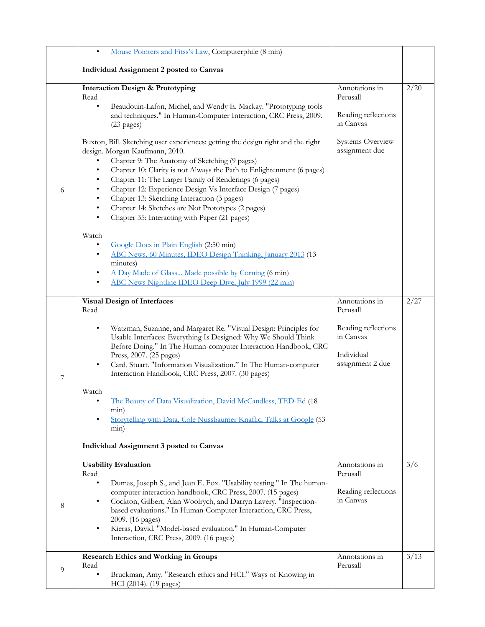|   | Mouse Pointers and Fitss's Law, Computerphile (8 min)                                                                                                                                                                                                                                                                                                                                                                                                                                                                                                                                                                                                                                                                                                                                                                                                                                                                                                                                                                                            |                                                                                                      |      |
|---|--------------------------------------------------------------------------------------------------------------------------------------------------------------------------------------------------------------------------------------------------------------------------------------------------------------------------------------------------------------------------------------------------------------------------------------------------------------------------------------------------------------------------------------------------------------------------------------------------------------------------------------------------------------------------------------------------------------------------------------------------------------------------------------------------------------------------------------------------------------------------------------------------------------------------------------------------------------------------------------------------------------------------------------------------|------------------------------------------------------------------------------------------------------|------|
|   | Individual Assignment 2 posted to Canvas                                                                                                                                                                                                                                                                                                                                                                                                                                                                                                                                                                                                                                                                                                                                                                                                                                                                                                                                                                                                         |                                                                                                      |      |
| 6 | <b>Interaction Design &amp; Prototyping</b><br>Read<br>Beaudouin-Lafon, Michel, and Wendy E. Mackay. "Prototyping tools<br>$\bullet$<br>and techniques." In Human-Computer Interaction, CRC Press, 2009.<br>$(23$ pages)<br>Buxton, Bill. Sketching user experiences: getting the design right and the right<br>design. Morgan Kaufmann, 2010.<br>Chapter 9: The Anatomy of Sketching (9 pages)<br>Chapter 10: Clarity is not Always the Path to Enlightenment (6 pages)<br>Chapter 11: The Larger Family of Renderings (6 pages)<br>Chapter 12: Experience Design Vs Interface Design (7 pages)<br>Chapter 13: Sketching Interaction (3 pages)<br>Chapter 14: Sketches are Not Prototypes (2 pages)<br>٠<br>Chapter 35: Interacting with Paper (21 pages)<br>Watch<br>Google Docs in Plain English (2:50 min)<br>$\bullet$<br>ABC News, 60 Minutes, IDEO Design Thinking, January 2013 (13)<br>٠<br>minutes)<br>A Day Made of Glass Made possible by Corning (6 min)<br>٠<br>ABC News Nightline IDEO Deep Dive, July 1999 (22 min)<br>$\bullet$ | Annotations in<br>Perusall<br>Reading reflections<br>in Canvas<br>Systems Overview<br>assignment due | 2/20 |
| 7 | <b>Visual Design of Interfaces</b><br>Read<br>Watzman, Suzanne, and Margaret Re. "Visual Design: Principles for<br>$\bullet$<br>Usable Interfaces: Everything Is Designed: Why We Should Think<br>Before Doing." In The Human-computer Interaction Handbook, CRC<br>Press, 2007. (25 pages)<br>Card, Stuart. "Information Visualization." In The Human-computer<br>Interaction Handbook, CRC Press, 2007. (30 pages)<br>Watch<br>The Beauty of Data Visualization, David McCandless, TED-Ed (18<br>min)<br>Storytelling with Data, Cole Nussbaumer Knaflic, Talks at Google (53<br>min)<br>Individual Assignment 3 posted to Canvas                                                                                                                                                                                                                                                                                                                                                                                                              | Annotations in<br>Perusall<br>Reading reflections<br>in Canvas<br>Individual<br>assignment 2 due     | 2/27 |
| 8 | <b>Usability Evaluation</b><br>Read<br>Dumas, Joseph S., and Jean E. Fox. "Usability testing." In The human-<br>computer interaction handbook, CRC Press, 2007. (15 pages)<br>Cockton, Gilbert, Alan Woolrych, and Darryn Lavery. "Inspection-<br>based evaluations." In Human-Computer Interaction, CRC Press,<br>2009. (16 pages)<br>Kieras, David. "Model-based evaluation." In Human-Computer<br>$\bullet$<br>Interaction, CRC Press, 2009. (16 pages)                                                                                                                                                                                                                                                                                                                                                                                                                                                                                                                                                                                       | Annotations in<br>Perusall<br>Reading reflections<br>in Canvas                                       | 3/6  |
| 9 | <b>Research Ethics and Working in Groups</b><br>Read<br>Bruckman, Amy. "Research ethics and HCI." Ways of Knowing in<br>HCI (2014). (19 pages)                                                                                                                                                                                                                                                                                                                                                                                                                                                                                                                                                                                                                                                                                                                                                                                                                                                                                                   | Annotations in<br>Perusall                                                                           | 3/13 |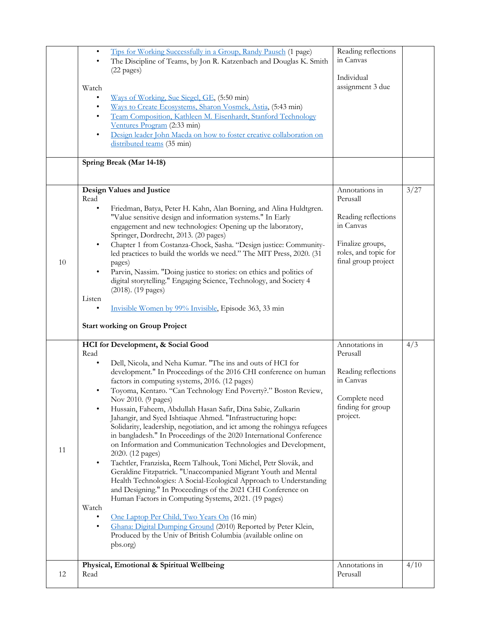|    | Tips for Working Successfully in a Group, Randy Pausch (1 page)<br>$\bullet$<br>The Discipline of Teams, by Jon R. Katzenbach and Douglas K. Smith<br>$\bullet$<br>$(22$ pages)<br>Watch<br>Ways of Working, Sue Siegel, GE, (5:50 min)<br>$\bullet$<br>Ways to Create Ecosystems, Sharon Vosmek, Astia, (5:43 min)<br>$\bullet$<br>Team Composition, Kathleen M. Eisenhardt, Stanford Technology<br>$\bullet$<br>Ventures Program (2:33 min)<br>Design leader John Maeda on how to foster creative collaboration on<br>$\bullet$<br>distributed teams (35 min)                                                                                                                                                                                                                                                                                                                                                                                                                                                                                                                                                                                                                                                                                       | Reading reflections<br>in Canvas<br>Individual<br>assignment 3 due                                                                |      |
|----|-------------------------------------------------------------------------------------------------------------------------------------------------------------------------------------------------------------------------------------------------------------------------------------------------------------------------------------------------------------------------------------------------------------------------------------------------------------------------------------------------------------------------------------------------------------------------------------------------------------------------------------------------------------------------------------------------------------------------------------------------------------------------------------------------------------------------------------------------------------------------------------------------------------------------------------------------------------------------------------------------------------------------------------------------------------------------------------------------------------------------------------------------------------------------------------------------------------------------------------------------------|-----------------------------------------------------------------------------------------------------------------------------------|------|
|    | Spring Break (Mar 14-18)                                                                                                                                                                                                                                                                                                                                                                                                                                                                                                                                                                                                                                                                                                                                                                                                                                                                                                                                                                                                                                                                                                                                                                                                                              |                                                                                                                                   |      |
| 10 | Design Values and Justice<br>Read<br>$\bullet$<br>Friedman, Batya, Peter H. Kahn, Alan Borning, and Alina Huldtgren.<br>"Value sensitive design and information systems." In Early<br>engagement and new technologies: Opening up the laboratory,<br>Springer, Dordrecht, 2013. (20 pages)<br>Chapter 1 from Costanza-Chock, Sasha. "Design justice: Community-<br>led practices to build the worlds we need." The MIT Press, 2020. (31<br>pages)<br>Parvin, Nassim. "Doing justice to stories: on ethics and politics of<br>digital storytelling." Engaging Science, Technology, and Society 4<br>(2018). (19 pages)<br>Listen<br>Invisible Women by 99% Invisible, Episode 363, 33 min<br><b>Start working on Group Project</b>                                                                                                                                                                                                                                                                                                                                                                                                                                                                                                                     | Annotations in<br>Perusall<br>Reading reflections<br>in Canvas<br>Finalize groups,<br>roles, and topic for<br>final group project | 3/27 |
| 11 | HCI for Development, & Social Good<br>Read<br>Dell, Nicola, and Neha Kumar. "The ins and outs of HCI for<br>development." In Proceedings of the 2016 CHI conference on human<br>factors in computing systems, 2016. (12 pages)<br>Toyoma, Kentaro. "Can Technology End Poverty?." Boston Review,<br>Nov 2010. (9 pages)<br>Hussain, Faheem, Abdullah Hasan Safir, Dina Sabie, Zulkarin<br>Jahangir, and Syed Ishtiaque Ahmed. "Infrastructuring hope:<br>Solidarity, leadership, negotiation, and ict among the rohingya refugees<br>in bangladesh." In Proceedings of the 2020 International Conference<br>on Information and Communication Technologies and Development,<br>2020. (12 pages)<br>Tachtler, Franziska, Reem Talhouk, Toni Michel, Petr Slovák, and<br>Geraldine Fitzpatrick. "Unaccompanied Migrant Youth and Mental<br>Health Technologies: A Social-Ecological Approach to Understanding<br>and Designing." In Proceedings of the 2021 CHI Conference on<br>Human Factors in Computing Systems, 2021. (19 pages)<br>Watch<br>One Laptop Per Child, Two Years On (16 min)<br>Ghana: Digital Dumping Ground (2010) Reported by Peter Klein,<br>$\bullet$<br>Produced by the Univ of British Columbia (available online on<br>pbs.org) | Annotations in<br>Perusall<br>Reading reflections<br>in Canvas<br>Complete need<br>finding for group<br>project.                  | 4/3  |
| 12 | Physical, Emotional & Spiritual Wellbeing<br>Read                                                                                                                                                                                                                                                                                                                                                                                                                                                                                                                                                                                                                                                                                                                                                                                                                                                                                                                                                                                                                                                                                                                                                                                                     | Annotations in<br>Perusall                                                                                                        | 4/10 |